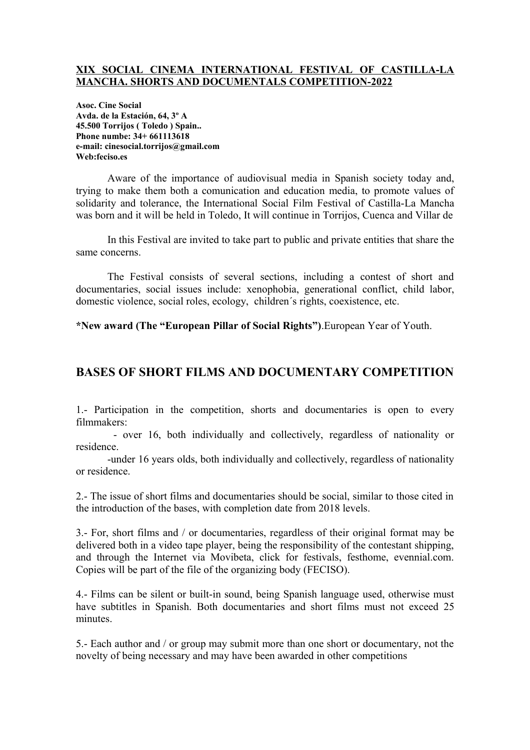### **XIX SOCIAL CINEMA INTERNATIONAL FESTIVAL OF CASTILLA-LA MANCHA. SHORTS AND DOCUMENTALS COMPETITION-2022**

**Asoc. Cine Social Avda. de la Estación, 64, 3º A 45.500 Torrijos ( Toledo ) Spain.. Phone numbe: 34+ 661113618 e-mail: cinesocial.torrijos@gmail.com Web:feciso.es** 

Aware of the importance of audiovisual media in Spanish society today and, trying to make them both a comunication and education media, to promote values of solidarity and tolerance, the International Social Film Festival of Castilla-La Mancha was born and it will be held in Toledo, It will continue in Torrijos, Cuenca and Villar de

In this Festival are invited to take part to public and private entities that share the same concerns.

The Festival consists of several sections, including a contest of short and documentaries, social issues include: xenophobia, generational conflict, child labor, domestic violence, social roles, ecology, children´s rights, coexistence, etc.

**\*New award (The "European Pillar of Social Rights")**.European Year of Youth.

# **BASES OF SHORT FILMS AND DOCUMENTARY COMPETITION**

1.- Participation in the competition, shorts and documentaries is open to every filmmakers:

 - over 16, both individually and collectively, regardless of nationality or residence.

-under 16 years olds, both individually and collectively, regardless of nationality or residence.

2.- The issue of short films and documentaries should be social, similar to those cited in the introduction of the bases, with completion date from 2018 levels.

3.- For, short films and / or documentaries, regardless of their original format may be delivered both in a video tape player, being the responsibility of the contestant shipping, and through the Internet via Movibeta, click for festivals, festhome, evennial.com. Copies will be part of the file of the organizing body (FECISO).

4.- Films can be silent or built-in sound, being Spanish language used, otherwise must have subtitles in Spanish. Both documentaries and short films must not exceed 25 minutes.

5.- Each author and / or group may submit more than one short or documentary, not the novelty of being necessary and may have been awarded in other competitions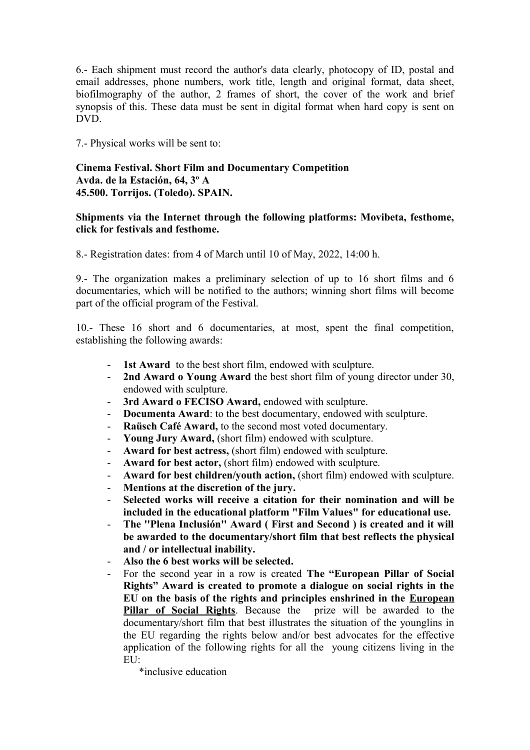6.- Each shipment must record the author's data clearly, photocopy of ID, postal and email addresses, phone numbers, work title, length and original format, data sheet, biofilmography of the author, 2 frames of short, the cover of the work and brief synopsis of this. These data must be sent in digital format when hard copy is sent on DVD.

7.- Physical works will be sent to:

## **Cinema Festival. Short Film and Documentary Competition Avda. de la Estación, 64, 3º A 45.500. Torrijos. (Toledo). SPAIN.**

## **Shipments via the Internet through the following platforms: Movibeta, festhome, click for festivals and festhome.**

8.- Registration dates: from 4 of March until 10 of May, 2022, 14:00 h.

9.- The organization makes a preliminary selection of up to 16 short films and 6 documentaries, which will be notified to the authors; winning short films will become part of the official program of the Festival.

10.- These 16 short and 6 documentaries, at most, spent the final competition, establishing the following awards:

- **1st Award** to the best short film, endowed with sculpture.
- **2nd Award o Young Award** the best short film of young director under 30, endowed with sculpture.
- **3rd Award o FECISO Award,** endowed with sculpture.
- **Documenta Award**: to the best documentary, endowed with sculpture.
- **Raüsch Café Award,** to the second most voted documentary.
- **Young Jury Award,** (short film) endowed with sculpture.
- **Award for best actress,** (short film) endowed with sculpture.
- **Award for best actor,** (short film) endowed with sculpture.
- **Award for best children/youth action,** (short film) endowed with sculpture.
- **Mentions at the discretion of the jury.**
- **Selected works will receive a citation for their nomination and will be included in the educational platform "Film Values" for educational use.**
- **The ''Plena Inclusión'' Award ( First and Second ) is created and it will be awarded to the documentary/short film that best reflects the physical and / or intellectual inability.**
- **Also the 6 best works will be selected.**
- For the second year in a row is created **The "European Pillar of Social Rights" Award is created to promote a dialogue on social rights in the EU on the basis of the rights and principles enshrined in the [European](https://ec.europa.eu/info/european-pillar-social-rights/european-pillar-social-rights-20-principles_en)** [Pillar of Social Rights](https://ec.europa.eu/info/european-pillar-social-rights/european-pillar-social-rights-20-principles_en). Because the prize will be awarded to the documentary/short film that best illustrates the situation of the younglins in the EU regarding the rights below and/or best advocates for the effective application of the following rights for all the young citizens living in the  $EU:$ 
	- \*inclusive education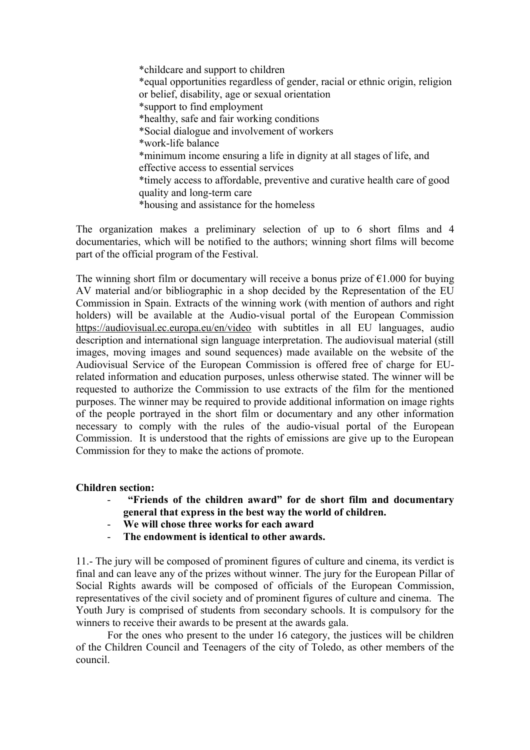\*childcare and support to children \*equal opportunities regardless of gender, racial or ethnic origin, religion or belief, disability, age or sexual orientation \*support to find employment \*healthy, safe and fair working conditions \*Social dialogue and involvement of workers \*work-life balance \*minimum income ensuring a life in dignity at all stages of life, and effective access to essential services \*timely access to affordable, preventive and curative health care of good quality and long-term care \*housing and assistance for the homeless

The organization makes a preliminary selection of up to 6 short films and 4 documentaries, which will be notified to the authors; winning short films will become part of the official program of the Festival.

The winning short film or documentary will receive a bonus prize of  $\epsilon$ 1.000 for buying AV material and/or bibliographic in a shop decided by the Representation of the EU Commission in Spain. Extracts of the winning work (with mention of authors and right holders) will be available at the Audio-visual portal of the European Commission <https://audiovisual.ec.europa.eu/en/video>with subtitles in all EU languages, audio description and international sign language interpretation. The audiovisual material (still images, moving images and sound sequences) made available on the website of the Audiovisual Service of the European Commission is offered free of charge for EUrelated information and education purposes, unless otherwise stated. The winner will be requested to authorize the Commission to use extracts of the film for the mentioned purposes. The winner may be required to provide additional information on image rights of the people portrayed in the short film or documentary and any other information necessary to comply with the rules of the audio-visual portal of the European Commission. It is understood that the rights of emissions are give up to the European Commission for they to make the actions of promote.

#### **Children section:**

- - **"Friends of the children award" for de short film and documentary general that express in the best way the world of children.**
- **We will chose three works for each award**
- **The endowment is identical to other awards.**

11.- The jury will be composed of prominent figures of culture and cinema, its verdict is final and can leave any of the prizes without winner. The jury for the European Pillar of Social Rights awards will be composed of officials of the European Commission, representatives of the civil society and of prominent figures of culture and cinema. The Youth Jury is comprised of students from secondary schools. It is compulsory for the winners to receive their awards to be present at the awards gala.

For the ones who present to the under 16 category, the justices will be children of the Children Council and Teenagers of the city of Toledo, as other members of the council.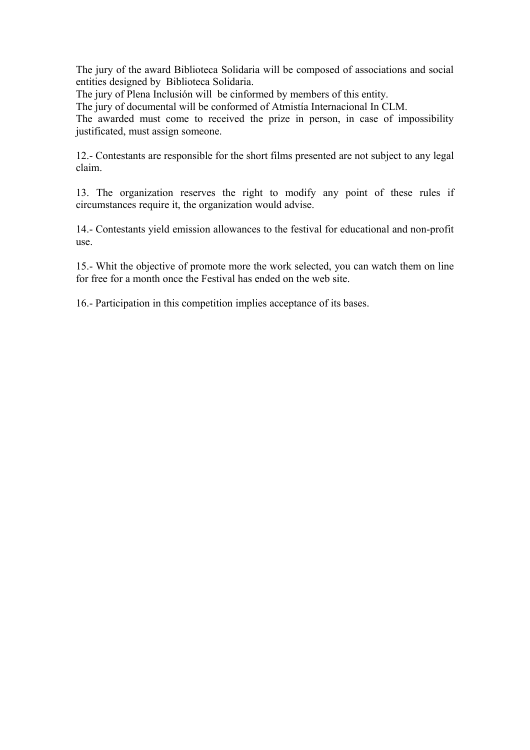The jury of the award Biblioteca Solidaria will be composed of associations and social entities designed by Biblioteca Solidaria.

The jury of Plena Inclusión will be cinformed by members of this entity.

The jury of documental will be conformed of Atmistía Internacional In CLM.

The awarded must come to received the prize in person, in case of impossibility justificated, must assign someone.

12.- Contestants are responsible for the short films presented are not subject to any legal claim.

13. The organization reserves the right to modify any point of these rules if circumstances require it, the organization would advise.

14.- Contestants yield emission allowances to the festival for educational and non-profit use.

15.- Whit the objective of promote more the work selected, you can watch them on line for free for a month once the Festival has ended on the web site.

16.- Participation in this competition implies acceptance of its bases.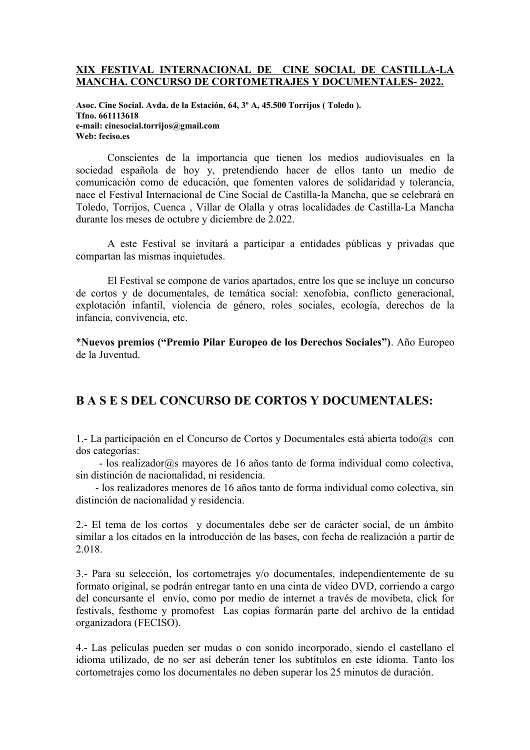#### **XIX FESTIVAL INTERNACIONAL DE CINE SOCIAL DE CASTILLA-LA MANCHA. CONCURSO DE CORTOMETRAJES Y DOCUMENTALES- 2022.**

**Asoc. Cine Social. Avda. de la Estación, 64, 3º A, 45.500 Torrijos ( Toledo ). Tfno. 661113618 e-mail: cinesocial.torrijos@gmail.com Web: feciso.es** 

Conscientes de la importancia que tienen los medios audiovisuales en la sociedad española de hoy y, pretendiendo hacer de ellos tanto un medio de comunicación como de educación, que fomenten valores de solidaridad y tolerancia, nace el Festival Internacional de Cine Social de Castilla-la Mancha, que se celebrará en Toledo, Torrijos, Cuenca , Villar de Olalla y otras localidades de Castilla-La Mancha durante los meses de octubre y diciembre de 2.022.

A este Festival se invitará a participar a entidades públicas y privadas que compartan las mismas inquietudes.

El Festival se compone de varios apartados, entre los que se incluye un concurso de cortos y de documentales, de temática social: xenofobia, conflicto generacional, explotación infantil, violencia de género, roles sociales, ecología, derechos de la infancia, convivencia, etc.

\***Nuevos premios ("Premio Pilar Europeo de los Derechos Sociales")**. Año Europeo de la Juventud.

## **B A S E S DEL CONCURSO DE CORTOS Y DOCUMENTALES:**

1.- La participación en el Concurso de Cortos y Documentales está abierta todo@s con dos categorías:

 - los realizador@s mayores de 16 años tanto de forma individual como colectiva, sin distinción de nacionalidad, ni residencia.

 - los realizadores menores de 16 años tanto de forma individual como colectiva, sin distinción de nacionalidad y residencia.

2.- El tema de los cortos y documentales debe ser de carácter social, de un ámbito similar a los citados en la introducción de las bases, con fecha de realización a partir de 2.018.

3.- Para su selección, los cortometrajes y/o documentales, independientemente de su formato original, se podrán entregar tanto en una cinta de vídeo DVD, corriendo a cargo del concursante el envío, como por medio de internet a través de movibeta, click for festivals, festhome y promofest Las copias formarán parte del archivo de la entidad organizadora (FECISO).

4.- Las películas pueden ser mudas o con sonido incorporado, siendo el castellano el idioma utilizado, de no ser así deberán tener los subtítulos en este idioma. Tanto los cortometrajes como los documentales no deben superar los 25 minutos de duración.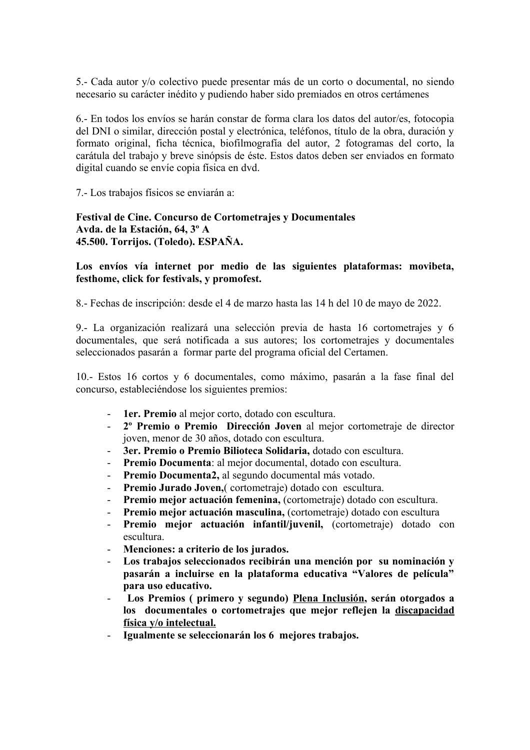5.- Cada autor y/o colectivo puede presentar más de un corto o documental, no siendo necesario su carácter inédito y pudiendo haber sido premiados en otros certámenes

6.- En todos los envíos se harán constar de forma clara los datos del autor/es, fotocopia del DNI o similar, dirección postal y electrónica, teléfonos, título de la obra, duración y formato original, ficha técnica, biofilmografía del autor, 2 fotogramas del corto, la carátula del trabajo y breve sinópsis de éste. Estos datos deben ser enviados en formato digital cuando se envíe copia física en dvd.

7.- Los trabajos físicos se enviarán a:

**Festival de Cine. Concurso de Cortometrajes y Documentales Avda. de la Estación, 64, 3º A 45.500. Torrijos. (Toledo). ESPAÑA.**

**Los envíos vía internet por medio de las siguientes plataformas: movibeta, festhome, click for festivals, y promofest.**

8.- Fechas de inscripción: desde el 4 de marzo hasta las 14 h del 10 de mayo de 2022.

9.- La organización realizará una selección previa de hasta 16 cortometrajes y 6 documentales, que será notificada a sus autores; los cortometrajes y documentales seleccionados pasarán a formar parte del programa oficial del Certamen.

10.- Estos 16 cortos y 6 documentales, como máximo, pasarán a la fase final del concurso, estableciéndose los siguientes premios:

- **1er. Premio** al mejor corto, dotado con escultura.
- **2º Premio o Premio Dirección Joven** al mejor cortometraje de director joven, menor de 30 años, dotado con escultura.
- **3er. Premio o Premio Bilioteca Solidaria,** dotado con escultura.
- **Premio Documenta**: al mejor documental, dotado con escultura.
- **Premio Documenta2,** al segundo documental más votado.
- **Premio Jurado Joven,**( cortometraje) dotado con escultura.
- **Premio mejor actuación femenina,** (cortometraje) dotado con escultura.
- **Premio mejor actuación masculina,** (cortometraje) dotado con escultura
- **Premio mejor actuación infantil/juvenil,** (cortometraje) dotado con escultura.
- **Menciones: a criterio de los jurados.**
- **Los trabajos seleccionados recibirán una mención por su nominación y pasarán a incluirse en la plataforma educativa "Valores de película" para uso educativo.**
- - **Los Premios ( primero y segundo) Plena Inclusión, serán otorgados a los documentales o cortometrajes que mejor reflejen la discapacidad física y/o intelectual.**
- **Igualmente se seleccionarán los 6 mejores trabajos.**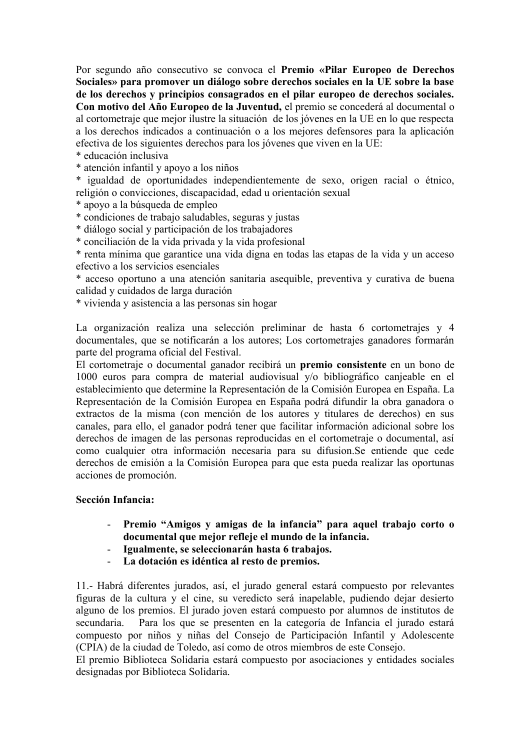Por segundo año consecutivo se convoca el **Premio «Pilar Europeo de Derechos Sociales» para promover un diálogo sobre derechos sociales en la UE sobre la base de los derechos y principios consagrados en el pilar europeo de derechos sociales. Con motivo del Año Europeo de la Juventud,** el premio se concederá al documental o al cortometraje que mejor ilustre la situación de los jóvenes en la UE en lo que respecta a los derechos indicados a continuación o a los mejores defensores para la aplicación efectiva de los siguientes derechos para los jóvenes que viven en la UE:

\* educación inclusiva

\* atención infantil y apoyo a los niños

\* igualdad de oportunidades independientemente de sexo, origen racial o étnico, religión o convicciones, discapacidad, edad u orientación sexual

\* apoyo a la búsqueda de empleo

\* condiciones de trabajo saludables, seguras y justas

\* diálogo social y participación de los trabajadores

\* conciliación de la vida privada y la vida profesional

\* renta mínima que garantice una vida digna en todas las etapas de la vida y un acceso efectivo a los servicios esenciales

\* acceso oportuno a una atención sanitaria asequible, preventiva y curativa de buena calidad y cuidados de larga duración

\* vivienda y asistencia a las personas sin hogar

La organización realiza una selección preliminar de hasta 6 cortometrajes y 4 documentales, que se notificarán a los autores; Los cortometrajes ganadores formarán parte del programa oficial del Festival.

El cortometraje o documental ganador recibirá un **premio consistente** en un bono de 1000 euros para compra de material audiovisual y/o bibliográfico canjeable en el establecimiento que determine la Representación de la Comisión Europea en España. La Representación de la Comisión Europea en España podrá difundir la obra ganadora o extractos de la misma (con mención de los autores y titulares de derechos) en sus canales, para ello, el ganador podrá tener que facilitar información adicional sobre los derechos de imagen de las personas reproducidas en el cortometraje o documental, así como cualquier otra información necesaria para su difusion.Se entiende que cede derechos de emisión a la Comisión Europea para que esta pueda realizar las oportunas acciones de promoción.

#### **Sección Infancia:**

- **Premio "Amigos y amigas de la infancia" para aquel trabajo corto o documental que mejor refleje el mundo de la infancia.**
- **Igualmente, se seleccionarán hasta 6 trabajos.**
- **La dotación es idéntica al resto de premios.**

11.- Habrá diferentes jurados, así, el jurado general estará compuesto por relevantes figuras de la cultura y el cine, su veredicto será inapelable, pudiendo dejar desierto alguno de los premios. El jurado joven estará compuesto por alumnos de institutos de secundaria. Para los que se presenten en la categoría de Infancia el jurado estará compuesto por niños y niñas del Consejo de Participación Infantil y Adolescente (CPIA) de la ciudad de Toledo, así como de otros miembros de este Consejo.

El premio Biblioteca Solidaria estará compuesto por asociaciones y entidades sociales designadas por Biblioteca Solidaria.